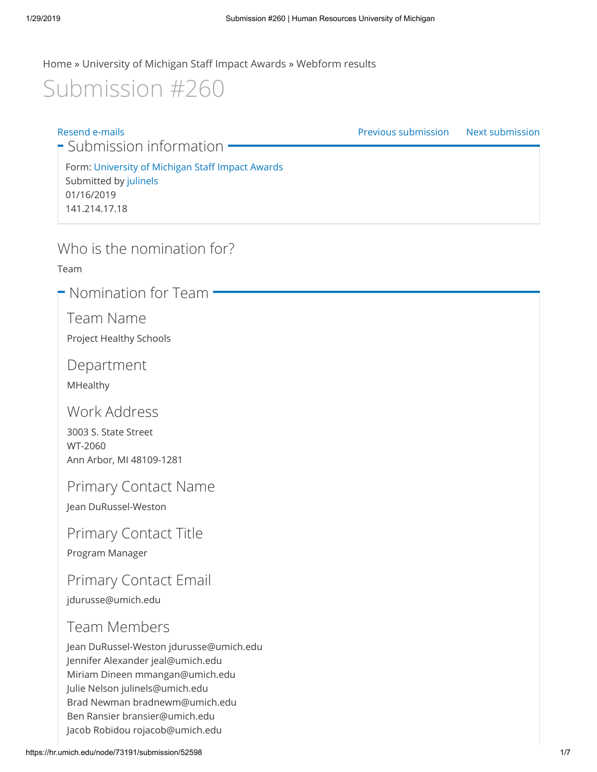[Home](https://hr.umich.edu/) » [University of Michigan Staff Impact Awards](https://hr.umich.edu/working-u-m/awards-recognition/university-michigan-staff-impact-awards) » [Webform results](https://hr.umich.edu/node/73191/webform-results)

# Submission #260

[Resend e-mails](https://hr.umich.edu/node/73191/submission/52598/resend?destination=node/73191/submission/52598) [Previous submission](https://hr.umich.edu/node/73191/submission/52597) [Next submission](https://hr.umich.edu/node/73191/submission/52603) **-** Submission information • Form: [University of Michigan Staff Impact Awards](https://hr.umich.edu/working-u-m/awards-recognition/university-michigan-staff-impact-awards) Submitted by [julinels](https://hr.umich.edu/users/julinels) 01/16/2019 141.214.17.18

### Who is the nomination for?

Team

• Nomination for Team

Team Name

Project Healthy Schools

Department

MHealthy

Work Address

3003 S. State Street WT-2060 Ann Arbor, MI 48109-1281

Primary Contact Name

Jean DuRussel-Weston

Primary Contact Title

Program Manager

Primary Contact Email

jdurusse@umich.edu

### Team Members

Jean DuRussel-Weston jdurusse@umich.edu Jennifer Alexander jeal@umich.edu Miriam Dineen mmangan@umich.edu Julie Nelson julinels@umich.edu Brad Newman bradnewm@umich.edu Ben Ransier bransier@umich.edu Jacob Robidou rojacob@umich.edu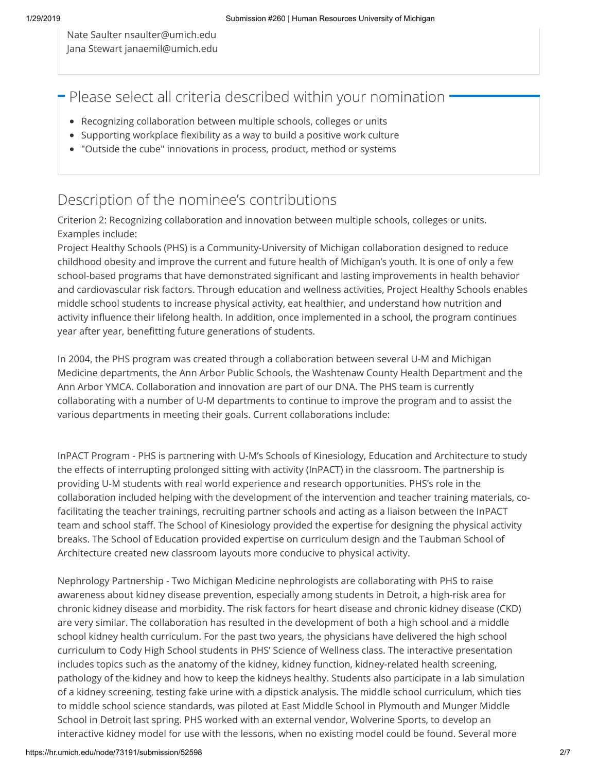Nate Saulter nsaulter@umich.edu Jana Stewart janaemil@umich.edu

 $\blacksquare$  Please select all criteria described within your nomination

- Recognizing collaboration between multiple schools, colleges or units
- Supporting workplace flexibility as a way to build a positive work culture
- "Outside the cube" innovations in process, product, method or systems

### Description of the nominee's contributions

Criterion 2: Recognizing collaboration and innovation between multiple schools, colleges or units. Examples include:

Project Healthy Schools (PHS) is a Community-University of Michigan collaboration designed to reduce childhood obesity and improve the current and future health of Michigan's youth. It is one of only a few school-based programs that have demonstrated significant and lasting improvements in health behavior and cardiovascular risk factors. Through education and wellness activities, Project Healthy Schools enables middle school students to increase physical activity, eat healthier, and understand how nutrition and activity influence their lifelong health. In addition, once implemented in a school, the program continues year after year, benefitting future generations of students.

In 2004, the PHS program was created through a collaboration between several U-M and Michigan Medicine departments, the Ann Arbor Public Schools, the Washtenaw County Health Department and the Ann Arbor YMCA. Collaboration and innovation are part of our DNA. The PHS team is currently collaborating with a number of U-M departments to continue to improve the program and to assist the various departments in meeting their goals. Current collaborations include:

InPACT Program - PHS is partnering with U-M's Schools of Kinesiology, Education and Architecture to study the effects of interrupting prolonged sitting with activity (InPACT) in the classroom. The partnership is providing U-M students with real world experience and research opportunities. PHS's role in the collaboration included helping with the development of the intervention and teacher training materials, cofacilitating the teacher trainings, recruiting partner schools and acting as a liaison between the InPACT team and school staff. The School of Kinesiology provided the expertise for designing the physical activity breaks. The School of Education provided expertise on curriculum design and the Taubman School of Architecture created new classroom layouts more conducive to physical activity.

Nephrology Partnership - Two Michigan Medicine nephrologists are collaborating with PHS to raise awareness about kidney disease prevention, especially among students in Detroit, a high-risk area for chronic kidney disease and morbidity. The risk factors for heart disease and chronic kidney disease (CKD) are very similar. The collaboration has resulted in the development of both a high school and a middle school kidney health curriculum. For the past two years, the physicians have delivered the high school curriculum to Cody High School students in PHS' Science of Wellness class. The interactive presentation includes topics such as the anatomy of the kidney, kidney function, kidney-related health screening, pathology of the kidney and how to keep the kidneys healthy. Students also participate in a lab simulation of a kidney screening, testing fake urine with a dipstick analysis. The middle school curriculum, which ties to middle school science standards, was piloted at East Middle School in Plymouth and Munger Middle School in Detroit last spring. PHS worked with an external vendor, Wolverine Sports, to develop an interactive kidney model for use with the lessons, when no existing model could be found. Several more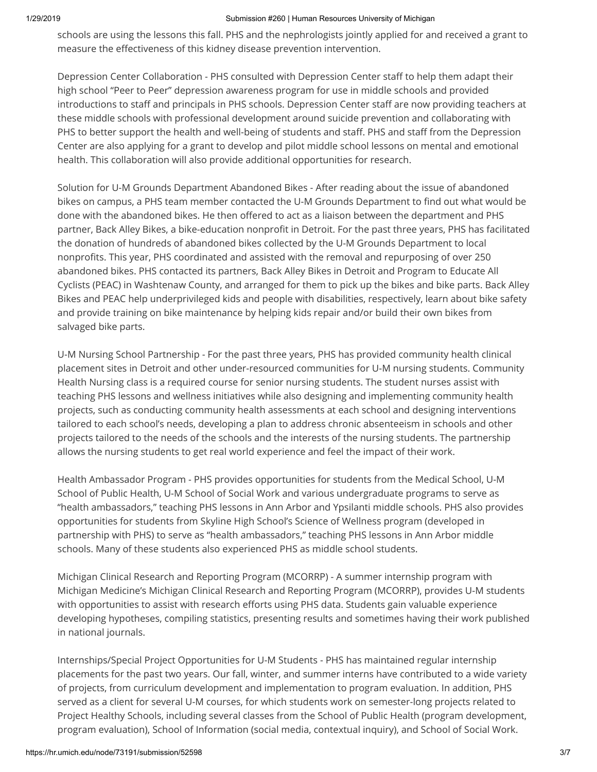#### 1/29/2019 Submission #260 | Human Resources University of Michigan

schools are using the lessons this fall. PHS and the nephrologists jointly applied for and received a grant to measure the effectiveness of this kidney disease prevention intervention.

Depression Center Collaboration - PHS consulted with Depression Center staff to help them adapt their high school "Peer to Peer" depression awareness program for use in middle schools and provided introductions to staff and principals in PHS schools. Depression Center staff are now providing teachers at these middle schools with professional development around suicide prevention and collaborating with PHS to better support the health and well-being of students and staff. PHS and staff from the Depression Center are also applying for a grant to develop and pilot middle school lessons on mental and emotional health. This collaboration will also provide additional opportunities for research.

Solution for U-M Grounds Department Abandoned Bikes - After reading about the issue of abandoned bikes on campus, a PHS team member contacted the U-M Grounds Department to find out what would be done with the abandoned bikes. He then offered to act as a liaison between the department and PHS partner, Back Alley Bikes, a bike-education nonprofit in Detroit. For the past three years, PHS has facilitated the donation of hundreds of abandoned bikes collected by the U-M Grounds Department to local nonprofits. This year, PHS coordinated and assisted with the removal and repurposing of over 250 abandoned bikes. PHS contacted its partners, Back Alley Bikes in Detroit and Program to Educate All Cyclists (PEAC) in Washtenaw County, and arranged for them to pick up the bikes and bike parts. Back Alley Bikes and PEAC help underprivileged kids and people with disabilities, respectively, learn about bike safety and provide training on bike maintenance by helping kids repair and/or build their own bikes from salvaged bike parts.

U-M Nursing School Partnership - For the past three years, PHS has provided community health clinical placement sites in Detroit and other under-resourced communities for U-M nursing students. Community Health Nursing class is a required course for senior nursing students. The student nurses assist with teaching PHS lessons and wellness initiatives while also designing and implementing community health projects, such as conducting community health assessments at each school and designing interventions tailored to each school's needs, developing a plan to address chronic absenteeism in schools and other projects tailored to the needs of the schools and the interests of the nursing students. The partnership allows the nursing students to get real world experience and feel the impact of their work.

Health Ambassador Program - PHS provides opportunities for students from the Medical School, U-M School of Public Health, U-M School of Social Work and various undergraduate programs to serve as "health ambassadors," teaching PHS lessons in Ann Arbor and Ypsilanti middle schools. PHS also provides opportunities for students from Skyline High School's Science of Wellness program (developed in partnership with PHS) to serve as "health ambassadors," teaching PHS lessons in Ann Arbor middle schools. Many of these students also experienced PHS as middle school students.

Michigan Clinical Research and Reporting Program (MCORRP) - A summer internship program with Michigan Medicine's Michigan Clinical Research and Reporting Program (MCORRP), provides U-M students with opportunities to assist with research efforts using PHS data. Students gain valuable experience developing hypotheses, compiling statistics, presenting results and sometimes having their work published in national journals.

Internships/Special Project Opportunities for U-M Students - PHS has maintained regular internship placements for the past two years. Our fall, winter, and summer interns have contributed to a wide variety of projects, from curriculum development and implementation to program evaluation. In addition, PHS served as a client for several U-M courses, for which students work on semester-long projects related to Project Healthy Schools, including several classes from the School of Public Health (program development, program evaluation), School of Information (social media, contextual inquiry), and School of Social Work.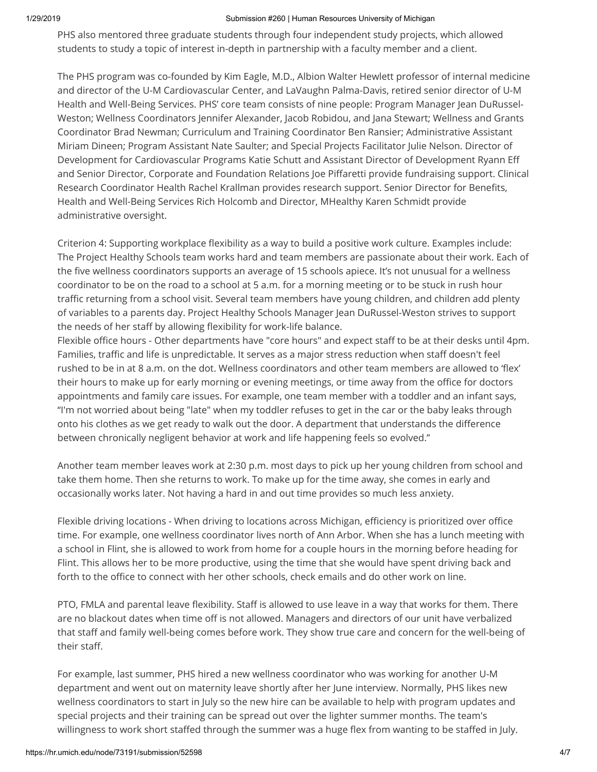#### 1/29/2019 Submission #260 | Human Resources University of Michigan

PHS also mentored three graduate students through four independent study projects, which allowed students to study a topic of interest in-depth in partnership with a faculty member and a client.

The PHS program was co-founded by Kim Eagle, M.D., Albion Walter Hewlett professor of internal medicine and director of the U-M Cardiovascular Center, and LaVaughn Palma-Davis, retired senior director of U-M Health and Well-Being Services. PHS' core team consists of nine people: Program Manager Jean DuRussel-Weston; Wellness Coordinators Jennifer Alexander, Jacob Robidou, and Jana Stewart; Wellness and Grants Coordinator Brad Newman; Curriculum and Training Coordinator Ben Ransier; Administrative Assistant Miriam Dineen; Program Assistant Nate Saulter; and Special Projects Facilitator Julie Nelson. Director of Development for Cardiovascular Programs Katie Schutt and Assistant Director of Development Ryann Eff and Senior Director, Corporate and Foundation Relations Joe Piffaretti provide fundraising support. Clinical Research Coordinator Health Rachel Krallman provides research support. Senior Director for Benefits, Health and Well-Being Services Rich Holcomb and Director, MHealthy Karen Schmidt provide administrative oversight.

Criterion 4: Supporting workplace flexibility as a way to build a positive work culture. Examples include: The Project Healthy Schools team works hard and team members are passionate about their work. Each of the five wellness coordinators supports an average of 15 schools apiece. It's not unusual for a wellness coordinator to be on the road to a school at 5 a.m. for a morning meeting or to be stuck in rush hour traffic returning from a school visit. Several team members have young children, and children add plenty of variables to a parents day. Project Healthy Schools Manager Jean DuRussel-Weston strives to support the needs of her staff by allowing flexibility for work-life balance.

Flexible office hours - Other departments have "core hours" and expect staff to be at their desks until 4pm. Families, traffic and life is unpredictable. It serves as a major stress reduction when staff doesn't feel rushed to be in at 8 a.m. on the dot. Wellness coordinators and other team members are allowed to 'flex' their hours to make up for early morning or evening meetings, or time away from the office for doctors appointments and family care issues. For example, one team member with a toddler and an infant says, "I'm not worried about being "late" when my toddler refuses to get in the car or the baby leaks through onto his clothes as we get ready to walk out the door. A department that understands the difference between chronically negligent behavior at work and life happening feels so evolved."

Another team member leaves work at 2:30 p.m. most days to pick up her young children from school and take them home. Then she returns to work. To make up for the time away, she comes in early and occasionally works later. Not having a hard in and out time provides so much less anxiety.

Flexible driving locations - When driving to locations across Michigan, efficiency is prioritized over office time. For example, one wellness coordinator lives north of Ann Arbor. When she has a lunch meeting with a school in Flint, she is allowed to work from home for a couple hours in the morning before heading for Flint. This allows her to be more productive, using the time that she would have spent driving back and forth to the office to connect with her other schools, check emails and do other work on line.

PTO, FMLA and parental leave flexibility. Staff is allowed to use leave in a way that works for them. There are no blackout dates when time off is not allowed. Managers and directors of our unit have verbalized that staff and family well-being comes before work. They show true care and concern for the well-being of their staff.

For example, last summer, PHS hired a new wellness coordinator who was working for another U-M department and went out on maternity leave shortly after her June interview. Normally, PHS likes new wellness coordinators to start in July so the new hire can be available to help with program updates and special projects and their training can be spread out over the lighter summer months. The team's willingness to work short staffed through the summer was a huge flex from wanting to be staffed in July.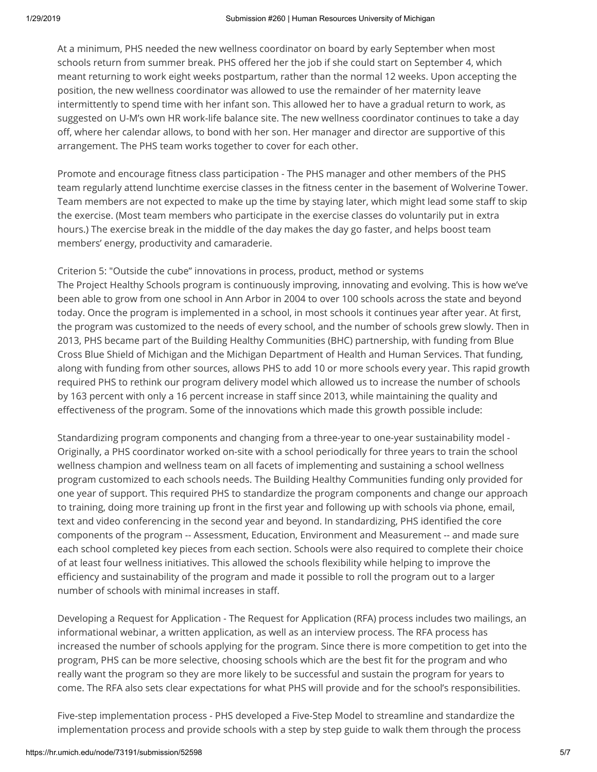At a minimum, PHS needed the new wellness coordinator on board by early September when most schools return from summer break. PHS offered her the job if she could start on September 4, which meant returning to work eight weeks postpartum, rather than the normal 12 weeks. Upon accepting the position, the new wellness coordinator was allowed to use the remainder of her maternity leave intermittently to spend time with her infant son. This allowed her to have a gradual return to work, as suggested on U-M's own HR work-life balance site. The new wellness coordinator continues to take a day off, where her calendar allows, to bond with her son. Her manager and director are supportive of this arrangement. The PHS team works together to cover for each other.

Promote and encourage fitness class participation - The PHS manager and other members of the PHS team regularly attend lunchtime exercise classes in the fitness center in the basement of Wolverine Tower. Team members are not expected to make up the time by staying later, which might lead some staff to skip the exercise. (Most team members who participate in the exercise classes do voluntarily put in extra hours.) The exercise break in the middle of the day makes the day go faster, and helps boost team members' energy, productivity and camaraderie.

Criterion 5: "Outside the cube" innovations in process, product, method or systems The Project Healthy Schools program is continuously improving, innovating and evolving. This is how we've been able to grow from one school in Ann Arbor in 2004 to over 100 schools across the state and beyond today. Once the program is implemented in a school, in most schools it continues year after year. At first, the program was customized to the needs of every school, and the number of schools grew slowly. Then in 2013, PHS became part of the Building Healthy Communities (BHC) partnership, with funding from Blue Cross Blue Shield of Michigan and the Michigan Department of Health and Human Services. That funding, along with funding from other sources, allows PHS to add 10 or more schools every year. This rapid growth required PHS to rethink our program delivery model which allowed us to increase the number of schools by 163 percent with only a 16 percent increase in staff since 2013, while maintaining the quality and effectiveness of the program. Some of the innovations which made this growth possible include:

Standardizing program components and changing from a three-year to one-year sustainability model - Originally, a PHS coordinator worked on-site with a school periodically for three years to train the school wellness champion and wellness team on all facets of implementing and sustaining a school wellness program customized to each schools needs. The Building Healthy Communities funding only provided for one year of support. This required PHS to standardize the program components and change our approach to training, doing more training up front in the first year and following up with schools via phone, email, text and video conferencing in the second year and beyond. In standardizing, PHS identified the core components of the program -- Assessment, Education, Environment and Measurement -- and made sure each school completed key pieces from each section. Schools were also required to complete their choice of at least four wellness initiatives. This allowed the schools flexibility while helping to improve the efficiency and sustainability of the program and made it possible to roll the program out to a larger number of schools with minimal increases in staff.

Developing a Request for Application - The Request for Application (RFA) process includes two mailings, an informational webinar, a written application, as well as an interview process. The RFA process has increased the number of schools applying for the program. Since there is more competition to get into the program, PHS can be more selective, choosing schools which are the best fit for the program and who really want the program so they are more likely to be successful and sustain the program for years to come. The RFA also sets clear expectations for what PHS will provide and for the school's responsibilities.

Five-step implementation process - PHS developed a Five-Step Model to streamline and standardize the implementation process and provide schools with a step by step guide to walk them through the process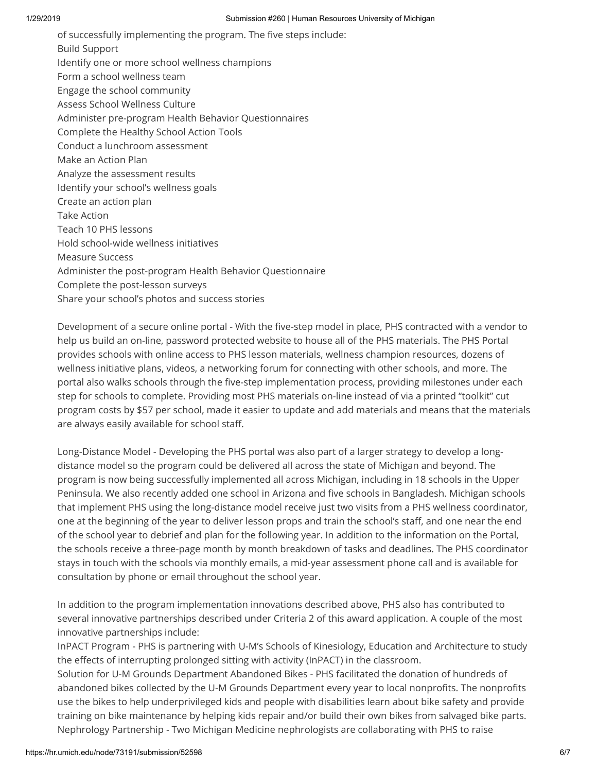of successfully implementing the program. The five steps include: Build Support Identify one or more school wellness champions Form a school wellness team Engage the school community Assess School Wellness Culture Administer pre-program Health Behavior Questionnaires Complete the Healthy School Action Tools Conduct a lunchroom assessment Make an Action Plan Analyze the assessment results Identify your school's wellness goals Create an action plan Take Action Teach 10 PHS lessons Hold school-wide wellness initiatives Measure Success Administer the post-program Health Behavior Questionnaire Complete the post-lesson surveys Share your school's photos and success stories

Development of a secure online portal - With the five-step model in place, PHS contracted with a vendor to help us build an on-line, password protected website to house all of the PHS materials. The PHS Portal provides schools with online access to PHS lesson materials, wellness champion resources, dozens of wellness initiative plans, videos, a networking forum for connecting with other schools, and more. The portal also walks schools through the five-step implementation process, providing milestones under each step for schools to complete. Providing most PHS materials on-line instead of via a printed "toolkit" cut program costs by \$57 per school, made it easier to update and add materials and means that the materials are always easily available for school staff.

Long-Distance Model - Developing the PHS portal was also part of a larger strategy to develop a longdistance model so the program could be delivered all across the state of Michigan and beyond. The program is now being successfully implemented all across Michigan, including in 18 schools in the Upper Peninsula. We also recently added one school in Arizona and five schools in Bangladesh. Michigan schools that implement PHS using the long-distance model receive just two visits from a PHS wellness coordinator, one at the beginning of the year to deliver lesson props and train the school's staff, and one near the end of the school year to debrief and plan for the following year. In addition to the information on the Portal, the schools receive a three-page month by month breakdown of tasks and deadlines. The PHS coordinator stays in touch with the schools via monthly emails, a mid-year assessment phone call and is available for consultation by phone or email throughout the school year.

In addition to the program implementation innovations described above, PHS also has contributed to several innovative partnerships described under Criteria 2 of this award application. A couple of the most innovative partnerships include:

InPACT Program - PHS is partnering with U-M's Schools of Kinesiology, Education and Architecture to study the effects of interrupting prolonged sitting with activity (InPACT) in the classroom.

Solution for U-M Grounds Department Abandoned Bikes - PHS facilitated the donation of hundreds of abandoned bikes collected by the U-M Grounds Department every year to local nonprofits. The nonprofits use the bikes to help underprivileged kids and people with disabilities learn about bike safety and provide training on bike maintenance by helping kids repair and/or build their own bikes from salvaged bike parts. Nephrology Partnership - Two Michigan Medicine nephrologists are collaborating with PHS to raise